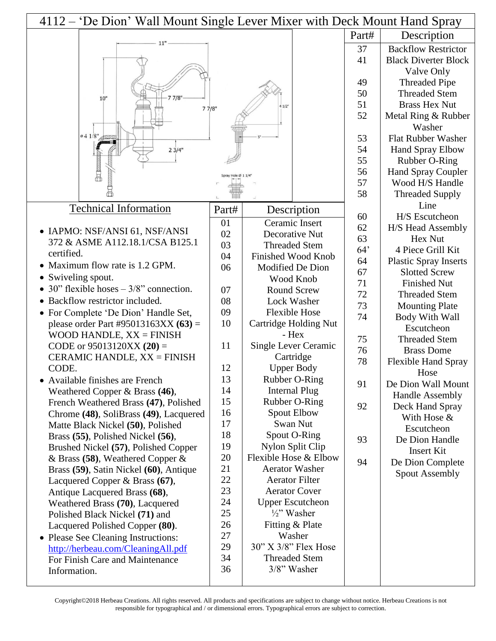| 4112 – 'De Dion' Wall Mount Single Lever Mixer with Deck Mount Hand Spray |       |                           |       |                                              |
|---------------------------------------------------------------------------|-------|---------------------------|-------|----------------------------------------------|
|                                                                           |       |                           | Part# | Description                                  |
|                                                                           |       |                           | 37    | <b>Backflow Restrictor</b>                   |
|                                                                           |       |                           | 41    | <b>Black Diverter Block</b>                  |
|                                                                           |       |                           |       | Valve Only                                   |
|                                                                           |       |                           | 49    | <b>Threaded Pipe</b>                         |
| 77/8"                                                                     |       |                           | 50    | <b>Threaded Stem</b>                         |
| 10"                                                                       | 77/8" | 41/2                      | 51    | <b>Brass Hex Nut</b>                         |
|                                                                           |       |                           | 52    | Metal Ring & Rubber                          |
|                                                                           |       |                           |       | Washer                                       |
| 0.41/8"                                                                   |       |                           | 53    | <b>Flat Rubber Washer</b>                    |
| 23/4"                                                                     |       |                           | 54    | Hand Spray Elbow                             |
|                                                                           |       |                           | 55    | Rubber O-Ring                                |
|                                                                           |       |                           | 56    | <b>Hand Spray Coupler</b>                    |
|                                                                           |       |                           | 57    | Wood H/S Handle                              |
|                                                                           |       |                           | 58    | <b>Threaded Supply</b>                       |
| <b>Technical Information</b>                                              | Part# | Description               |       | Line                                         |
|                                                                           | 01    | Ceramic Insert            | 60    | H/S Escutcheon                               |
| • IAPMO: NSF/ANSI 61, NSF/ANSI                                            | 02    | Decorative Nut            | 62    | H/S Head Assembly                            |
| 372 & ASME A112.18.1/CSA B125.1                                           | 03    | <b>Threaded Stem</b>      | 63    | Hex Nut                                      |
| certified.                                                                | 04    | <b>Finished Wood Knob</b> | 64'   | 4 Piece Grill Kit                            |
| • Maximum flow rate is 1.2 GPM.                                           | 06    | Modified De Dion          | 64    | <b>Plastic Spray Inserts</b>                 |
| • Swiveling spout.                                                        |       | Wood Knob                 | 67    | <b>Slotted Screw</b>                         |
| • 30" flexible hoses $-3/8$ " connection.                                 | 07    | <b>Round Screw</b>        | 71    | <b>Finished Nut</b>                          |
| • Backflow restrictor included.                                           | 08    | Lock Washer               | 72    | <b>Threaded Stem</b>                         |
| • For Complete 'De Dion' Handle Set,                                      | 09    | <b>Flexible Hose</b>      | 73    | <b>Mounting Plate</b>                        |
| please order Part #95013163XX $(63)$ =                                    | 10    | Cartridge Holding Nut     | 74    | Body With Wall                               |
| WOOD HANDLE, $XX = FINISH$                                                |       | - Hex                     |       | Escutcheon                                   |
| CODE or $95013120XX(20) =$                                                | 11    | Single Lever Ceramic      | 75    | <b>Threaded Stem</b>                         |
| CERAMIC HANDLE, $XX = FINISH$                                             |       | Cartridge                 | 76    | <b>Brass Dome</b>                            |
| CODE.                                                                     | 12    | <b>Upper Body</b>         | 78    | <b>Flexible Hand Spray</b>                   |
| • Available finishes are French                                           | 13    | Rubber O-Ring             |       | Hose                                         |
| Weathered Copper $\&$ Brass (46),                                         | 14    | <b>Internal Plug</b>      | 91    | De Dion Wall Mount<br><b>Handle Assembly</b> |
| French Weathered Brass (47), Polished                                     | 15    | Rubber O-Ring             | 92    | Deck Hand Spray                              |
| Chrome (48), SoliBrass (49), Lacquered                                    | 16    | Spout Elbow               |       | With Hose &                                  |
| Matte Black Nickel (50), Polished                                         | 17    | Swan Nut                  |       | Escutcheon                                   |
| Brass (55), Polished Nickel (56),                                         | 18    | Spout O-Ring              | 93    | De Dion Handle                               |
| Brushed Nickel (57), Polished Copper                                      | 19    | Nylon Split Clip          |       | <b>Insert Kit</b>                            |
| $&$ Brass (58), Weathered Copper $&$                                      | 20    | Flexible Hose & Elbow     | 94    | De Dion Complete                             |
| Brass (59), Satin Nickel (60), Antique                                    | 21    | <b>Aerator Washer</b>     |       | <b>Spout Assembly</b>                        |
| Lacquered Copper & Brass (67),                                            | 22    | <b>Aerator Filter</b>     |       |                                              |
| Antique Lacquered Brass (68),                                             | 23    | <b>Aerator Cover</b>      |       |                                              |
| Weathered Brass (70), Lacquered                                           | 24    | <b>Upper Escutcheon</b>   |       |                                              |
| Polished Black Nickel (71) and                                            | 25    | $\frac{1}{2}$ " Washer    |       |                                              |
| Lacquered Polished Copper (80).                                           | 26    | Fitting & Plate           |       |                                              |
| • Please See Cleaning Instructions:                                       | 27    | Washer                    |       |                                              |
| http://herbeau.com/CleaningAll.pdf                                        | 29    | 30" X 3/8" Flex Hose      |       |                                              |
| For Finish Care and Maintenance                                           | 34    | <b>Threaded Stem</b>      |       |                                              |
| Information.                                                              | 36    | 3/8" Washer               |       |                                              |
|                                                                           |       |                           |       |                                              |

Copyright©2018 Herbeau Creations. All rights reserved. All products and specifications are subject to change without notice. Herbeau Creations is not responsible for typographical and / or dimensional errors. Typographical errors are subject to correction.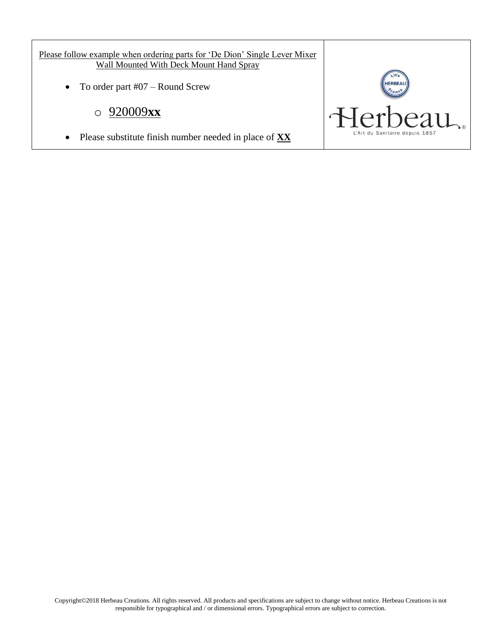Please follow example when ordering parts for 'De Dion' Single Lever Mixer Wall Mounted With Deck Mount Hand Spray

• To order part #07 – Round Screw

## o 920009**xx**

Please substitute finish number needed in place of **XX**

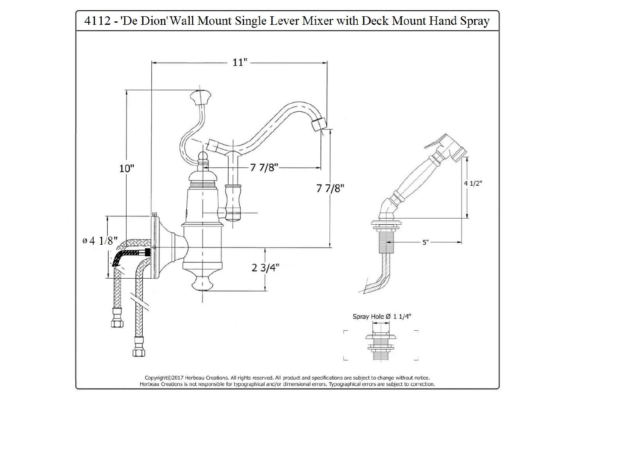